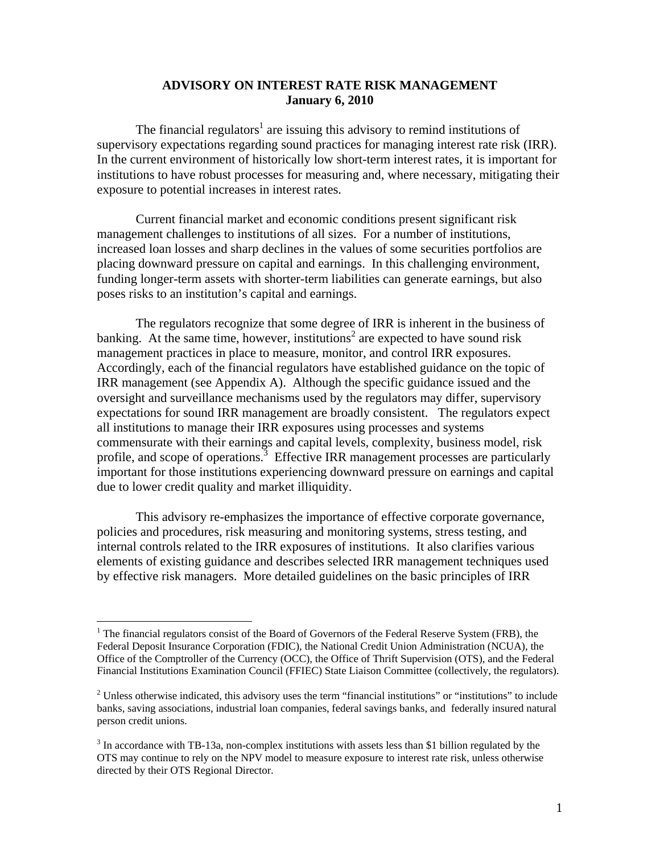### **ADVISORY ON INTEREST RATE RISK MANAGEMENT January 6, 2010**

The financial regulators<sup>1</sup> are issuing this advisory to remind institutions of supervisory expectations regarding sound practices for managing interest rate risk (IRR). In the current environment of historically low short-term interest rates, it is important for institutions to have robust processes for measuring and, where necessary, mitigating their exposure to potential increases in interest rates.

Current financial market and economic conditions present significant risk management challenges to institutions of all sizes. For a number of institutions, increased loan losses and sharp declines in the values of some securities portfolios are placing downward pressure on capital and earnings. In this challenging environment, funding longer-term assets with shorter-term liabilities can generate earnings, but also poses risks to an institution's capital and earnings.

The regulators recognize that some degree of IRR is inherent in the business of banking. At the same time, however, institutions<sup>2</sup> are expected to have sound risk management practices in place to measure, monitor, and control IRR exposures. Accordingly, each of the financial regulators have established guidance on the topic of IRR management (see Appendix A). Although the specific guidance issued and the oversight and surveillance mechanisms used by the regulators may differ, supervisory expectations for sound IRR management are broadly consistent. The regulators expect all institutions to manage their IRR exposures using processes and systems commensurate with their earnings and capital levels, complexity, business model, risk profile, and scope of operations.<sup>3</sup> Effective IRR management processes are particularly important for those institutions experiencing downward pressure on earnings and capital due to lower credit quality and market illiquidity.

This advisory re-emphasizes the importance of effective corporate governance, policies and procedures, risk measuring and monitoring systems, stress testing, and internal controls related to the IRR exposures of institutions. It also clarifies various elements of existing guidance and describes selected IRR management techniques used by effective risk managers. More detailed guidelines on the basic principles of IRR

 $\overline{a}$ 

<sup>&</sup>lt;sup>1</sup> The financial regulators consist of the Board of Governors of the Federal Reserve System (FRB), the Federal Deposit Insurance Corporation (FDIC), the National Credit Union Administration (NCUA), the Office of the Comptroller of the Currency (OCC), the Office of Thrift Supervision (OTS), and the Federal Financial Institutions Examination Council (FFIEC) State Liaison Committee (collectively, the regulators).

 $2^2$  Unless otherwise indicated, this advisory uses the term "financial institutions" or "institutions" to include banks, saving associations, industrial loan companies, federal savings banks, and federally insured natural person credit unions.

 $3$  In accordance with TB-13a, non-complex institutions with assets less than \$1 billion regulated by the OTS may continue to rely on the NPV model to measure exposure to interest rate risk, unless otherwise directed by their OTS Regional Director.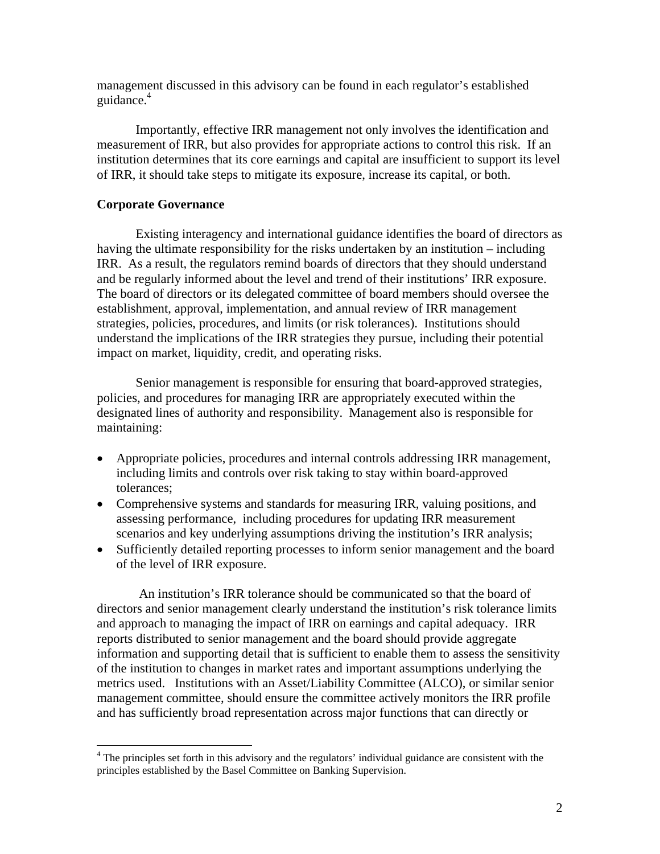management discussed in this advisory can be found in each regulator's established guidance.<sup>4</sup>

Importantly, effective IRR management not only involves the identification and measurement of IRR, but also provides for appropriate actions to control this risk. If an institution determines that its core earnings and capital are insufficient to support its level of IRR, it should take steps to mitigate its exposure, increase its capital, or both.

#### **Corporate Governance**

 $\overline{a}$ 

Existing interagency and international guidance identifies the board of directors as having the ultimate responsibility for the risks undertaken by an institution – including IRR. As a result, the regulators remind boards of directors that they should understand and be regularly informed about the level and trend of their institutions' IRR exposure. The board of directors or its delegated committee of board members should oversee the establishment, approval, implementation, and annual review of IRR management strategies, policies, procedures, and limits (or risk tolerances). Institutions should understand the implications of the IRR strategies they pursue, including their potential impact on market, liquidity, credit, and operating risks.

Senior management is responsible for ensuring that board-approved strategies, policies, and procedures for managing IRR are appropriately executed within the designated lines of authority and responsibility. Management also is responsible for maintaining:

- Appropriate policies, procedures and internal controls addressing IRR management, including limits and controls over risk taking to stay within board-approved tolerances;
- Comprehensive systems and standards for measuring IRR, valuing positions, and assessing performance, including procedures for updating IRR measurement scenarios and key underlying assumptions driving the institution's IRR analysis;
- Sufficiently detailed reporting processes to inform senior management and the board of the level of IRR exposure.

 An institution's IRR tolerance should be communicated so that the board of directors and senior management clearly understand the institution's risk tolerance limits and approach to managing the impact of IRR on earnings and capital adequacy. IRR reports distributed to senior management and the board should provide aggregate information and supporting detail that is sufficient to enable them to assess the sensitivity of the institution to changes in market rates and important assumptions underlying the metrics used. Institutions with an Asset/Liability Committee (ALCO), or similar senior management committee, should ensure the committee actively monitors the IRR profile and has sufficiently broad representation across major functions that can directly or

<sup>&</sup>lt;sup>4</sup> The principles set forth in this advisory and the regulators' individual guidance are consistent with the principles established by the Basel Committee on Banking Supervision.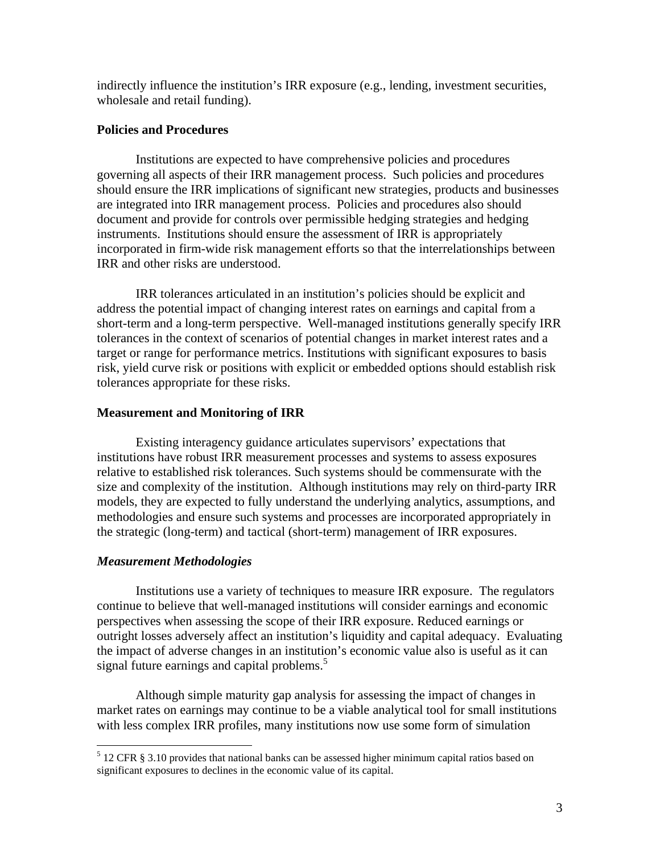indirectly influence the institution's IRR exposure (e.g., lending, investment securities, wholesale and retail funding).

### **Policies and Procedures**

Institutions are expected to have comprehensive policies and procedures governing all aspects of their IRR management process. Such policies and procedures should ensure the IRR implications of significant new strategies, products and businesses are integrated into IRR management process. Policies and procedures also should document and provide for controls over permissible hedging strategies and hedging instruments. Institutions should ensure the assessment of IRR is appropriately incorporated in firm-wide risk management efforts so that the interrelationships between IRR and other risks are understood.

IRR tolerances articulated in an institution's policies should be explicit and address the potential impact of changing interest rates on earnings and capital from a short-term and a long-term perspective. Well-managed institutions generally specify IRR tolerances in the context of scenarios of potential changes in market interest rates and a target or range for performance metrics. Institutions with significant exposures to basis risk, yield curve risk or positions with explicit or embedded options should establish risk tolerances appropriate for these risks.

### **Measurement and Monitoring of IRR**

Existing interagency guidance articulates supervisors' expectations that institutions have robust IRR measurement processes and systems to assess exposures relative to established risk tolerances. Such systems should be commensurate with the size and complexity of the institution. Although institutions may rely on third-party IRR models, they are expected to fully understand the underlying analytics, assumptions, and methodologies and ensure such systems and processes are incorporated appropriately in the strategic (long-term) and tactical (short-term) management of IRR exposures.

#### *Measurement Methodologies*

Institutions use a variety of techniques to measure IRR exposure. The regulators continue to believe that well-managed institutions will consider earnings and economic perspectives when assessing the scope of their IRR exposure. Reduced earnings or outright losses adversely affect an institution's liquidity and capital adequacy. Evaluating the impact of adverse changes in an institution's economic value also is useful as it can signal future earnings and capital problems.<sup>5</sup>

 Although simple maturity gap analysis for assessing the impact of changes in market rates on earnings may continue to be a viable analytical tool for small institutions with less complex IRR profiles, many institutions now use some form of simulation

 5 12 CFR § 3.10 provides that national banks can be assessed higher minimum capital ratios based on significant exposures to declines in the economic value of its capital.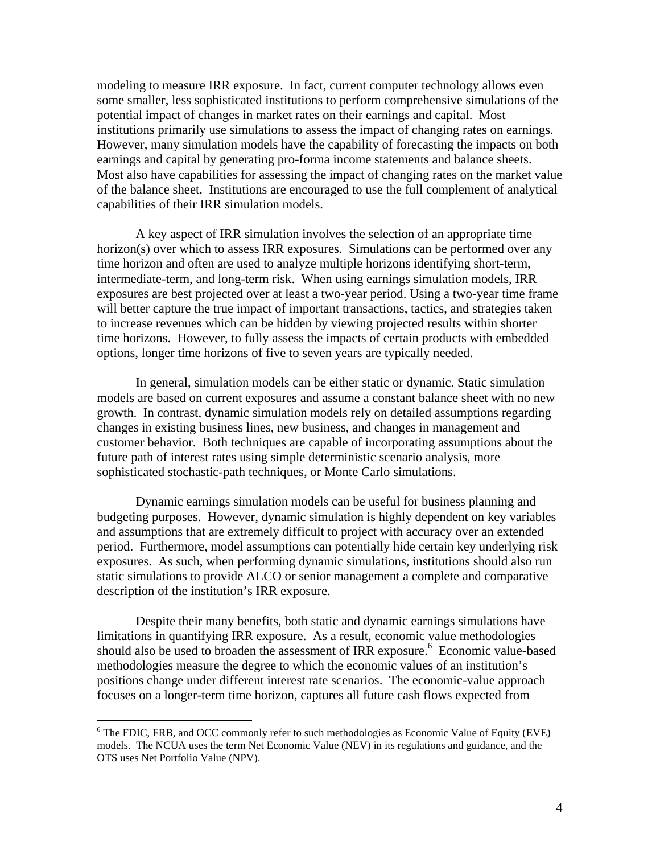modeling to measure IRR exposure. In fact, current computer technology allows even some smaller, less sophisticated institutions to perform comprehensive simulations of the potential impact of changes in market rates on their earnings and capital. Most institutions primarily use simulations to assess the impact of changing rates on earnings. However, many simulation models have the capability of forecasting the impacts on both earnings and capital by generating pro-forma income statements and balance sheets. Most also have capabilities for assessing the impact of changing rates on the market value of the balance sheet. Institutions are encouraged to use the full complement of analytical capabilities of their IRR simulation models.

A key aspect of IRR simulation involves the selection of an appropriate time horizon(s) over which to assess IRR exposures. Simulations can be performed over any time horizon and often are used to analyze multiple horizons identifying short-term, intermediate-term, and long-term risk. When using earnings simulation models, IRR exposures are best projected over at least a two-year period. Using a two-year time frame will better capture the true impact of important transactions, tactics, and strategies taken to increase revenues which can be hidden by viewing projected results within shorter time horizons. However, to fully assess the impacts of certain products with embedded options, longer time horizons of five to seven years are typically needed.

In general, simulation models can be either static or dynamic. Static simulation models are based on current exposures and assume a constant balance sheet with no new growth. In contrast, dynamic simulation models rely on detailed assumptions regarding changes in existing business lines, new business, and changes in management and customer behavior. Both techniques are capable of incorporating assumptions about the future path of interest rates using simple deterministic scenario analysis, more sophisticated stochastic-path techniques, or Monte Carlo simulations.

Dynamic earnings simulation models can be useful for business planning and budgeting purposes. However, dynamic simulation is highly dependent on key variables and assumptions that are extremely difficult to project with accuracy over an extended period. Furthermore, model assumptions can potentially hide certain key underlying risk exposures. As such, when performing dynamic simulations, institutions should also run static simulations to provide ALCO or senior management a complete and comparative description of the institution's IRR exposure.

Despite their many benefits, both static and dynamic earnings simulations have limitations in quantifying IRR exposure. As a result, economic value methodologies should also be used to broaden the assessment of IRR exposure.<sup>6</sup> Economic value-based methodologies measure the degree to which the economic values of an institution's positions change under different interest rate scenarios. The economic-value approach focuses on a longer-term time horizon, captures all future cash flows expected from

 $\overline{a}$ 

<sup>&</sup>lt;sup>6</sup> The FDIC, FRB, and OCC commonly refer to such methodologies as Economic Value of Equity (EVE) models. The NCUA uses the term Net Economic Value (NEV) in its regulations and guidance, and the OTS uses Net Portfolio Value (NPV).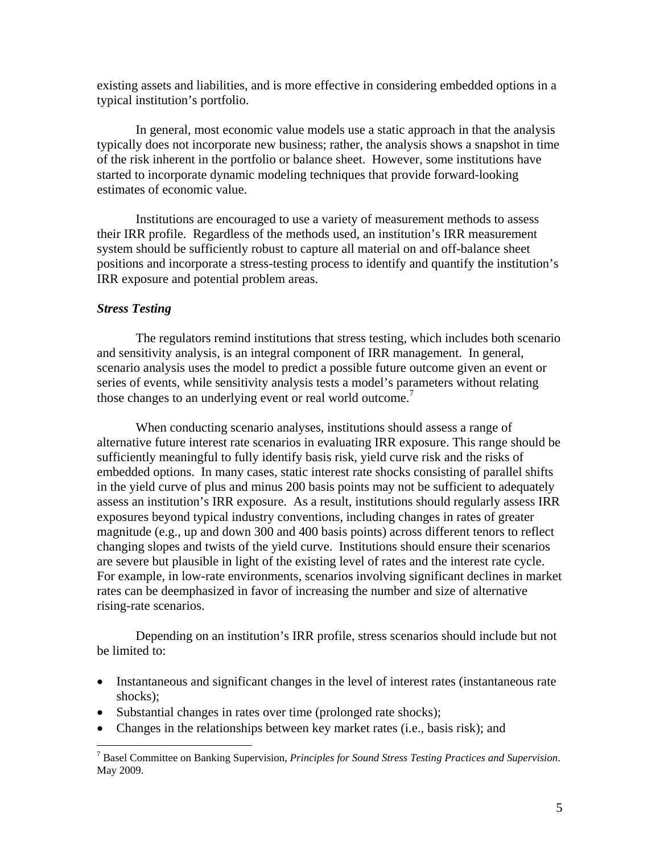existing assets and liabilities, and is more effective in considering embedded options in a typical institution's portfolio.

 In general, most economic value models use a static approach in that the analysis typically does not incorporate new business; rather, the analysis shows a snapshot in time of the risk inherent in the portfolio or balance sheet. However, some institutions have started to incorporate dynamic modeling techniques that provide forward-looking estimates of economic value.

Institutions are encouraged to use a variety of measurement methods to assess their IRR profile. Regardless of the methods used, an institution's IRR measurement system should be sufficiently robust to capture all material on and off-balance sheet positions and incorporate a stress-testing process to identify and quantify the institution's IRR exposure and potential problem areas.

#### *Stress Testing*

 $\overline{a}$ 

The regulators remind institutions that stress testing, which includes both scenario and sensitivity analysis, is an integral component of IRR management. In general, scenario analysis uses the model to predict a possible future outcome given an event or series of events, while sensitivity analysis tests a model's parameters without relating those changes to an underlying event or real world outcome.<sup>7</sup>

When conducting scenario analyses, institutions should assess a range of alternative future interest rate scenarios in evaluating IRR exposure. This range should be sufficiently meaningful to fully identify basis risk, yield curve risk and the risks of embedded options. In many cases, static interest rate shocks consisting of parallel shifts in the yield curve of plus and minus 200 basis points may not be sufficient to adequately assess an institution's IRR exposure. As a result, institutions should regularly assess IRR exposures beyond typical industry conventions, including changes in rates of greater magnitude (e.g., up and down 300 and 400 basis points) across different tenors to reflect changing slopes and twists of the yield curve. Institutions should ensure their scenarios are severe but plausible in light of the existing level of rates and the interest rate cycle. For example, in low-rate environments, scenarios involving significant declines in market rates can be deemphasized in favor of increasing the number and size of alternative rising-rate scenarios.

Depending on an institution's IRR profile, stress scenarios should include but not be limited to:

- Instantaneous and significant changes in the level of interest rates (instantaneous rate shocks);
- Substantial changes in rates over time (prolonged rate shocks);
- Changes in the relationships between key market rates (i.e., basis risk); and

<sup>7</sup> Basel Committee on Banking Supervision, *Principles for Sound Stress Testing Practices and Supervision*. May 2009.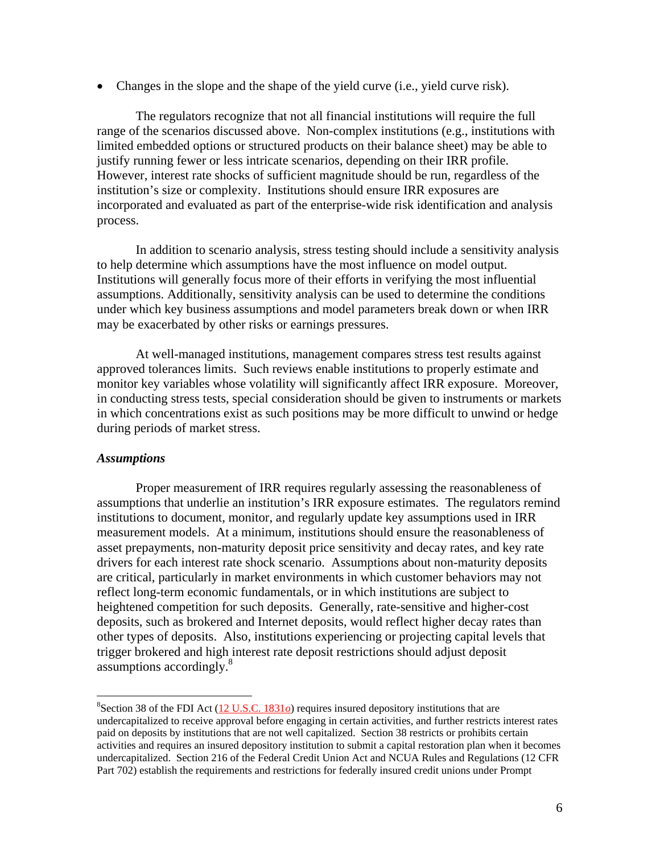Changes in the slope and the shape of the yield curve (i.e., yield curve risk).

The regulators recognize that not all financial institutions will require the full range of the scenarios discussed above. Non-complex institutions (e.g., institutions with limited embedded options or structured products on their balance sheet) may be able to justify running fewer or less intricate scenarios, depending on their IRR profile. However, interest rate shocks of sufficient magnitude should be run, regardless of the institution's size or complexity. Institutions should ensure IRR exposures are incorporated and evaluated as part of the enterprise-wide risk identification and analysis process.

In addition to scenario analysis, stress testing should include a sensitivity analysis to help determine which assumptions have the most influence on model output. Institutions will generally focus more of their efforts in verifying the most influential assumptions. Additionally, sensitivity analysis can be used to determine the conditions under which key business assumptions and model parameters break down or when IRR may be exacerbated by other risks or earnings pressures.

At well-managed institutions, management compares stress test results against approved tolerances limits. Such reviews enable institutions to properly estimate and monitor key variables whose volatility will significantly affect IRR exposure. Moreover, in conducting stress tests, special consideration should be given to instruments or markets in which concentrations exist as such positions may be more difficult to unwind or hedge during periods of market stress.

#### *Assumptions*

 $\overline{a}$ 

Proper measurement of IRR requires regularly assessing the reasonableness of assumptions that underlie an institution's IRR exposure estimates. The regulators remind institutions to document, monitor, and regularly update key assumptions used in IRR measurement models. At a minimum, institutions should ensure the reasonableness of asset prepayments, non-maturity deposit price sensitivity and decay rates, and key rate drivers for each interest rate shock scenario. Assumptions about non-maturity deposits are critical, particularly in market environments in which customer behaviors may not reflect long-term economic fundamentals, or in which institutions are subject to heightened competition for such deposits. Generally, rate-sensitive and higher-cost deposits, such as brokered and Internet deposits, would reflect higher decay rates than other types of deposits. Also, institutions experiencing or projecting capital levels that trigger brokered and high interest rate deposit restrictions should adjust deposit assumptions accordingly.<sup>8</sup>

<sup>&</sup>lt;sup>8</sup>Section 38 of the FDI Act (12 U.S.C. 1831*o*) requires insured depository institutions that are undercapitalized to receive approval before engaging in certain activities, and further restricts interest rates paid on deposits by institutions that are not well capitalized. Section 38 restricts or prohibits certain activities and requires an insured depository institution to submit a capital restoration plan when it becomes undercapitalized. Section 216 of the Federal Credit Union Act and NCUA Rules and Regulations (12 CFR Part 702) establish the requirements and restrictions for federally insured credit unions under Prompt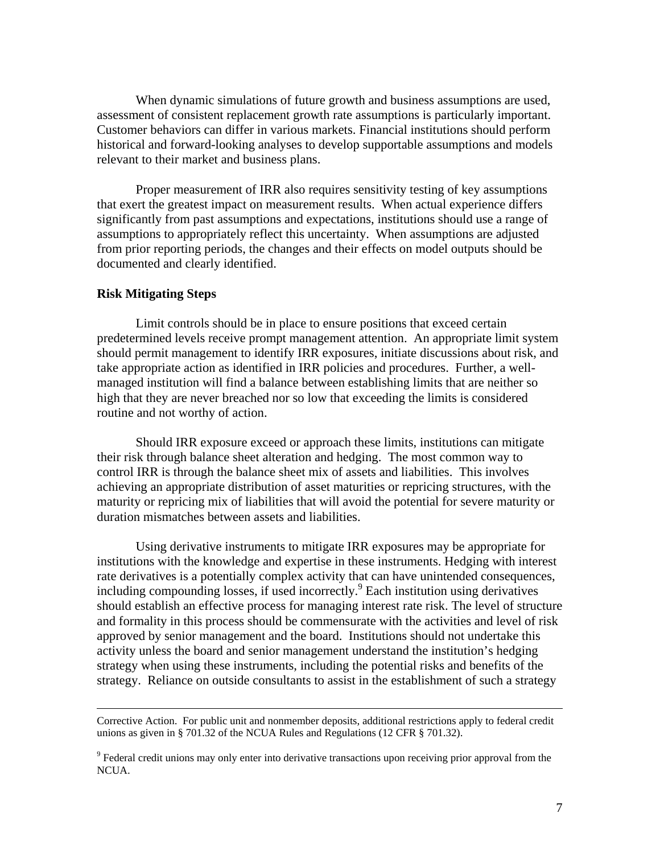When dynamic simulations of future growth and business assumptions are used, assessment of consistent replacement growth rate assumptions is particularly important. Customer behaviors can differ in various markets. Financial institutions should perform historical and forward-looking analyses to develop supportable assumptions and models relevant to their market and business plans.

Proper measurement of IRR also requires sensitivity testing of key assumptions that exert the greatest impact on measurement results. When actual experience differs significantly from past assumptions and expectations, institutions should use a range of assumptions to appropriately reflect this uncertainty. When assumptions are adjusted from prior reporting periods, the changes and their effects on model outputs should be documented and clearly identified.

#### **Risk Mitigating Steps**

Limit controls should be in place to ensure positions that exceed certain predetermined levels receive prompt management attention. An appropriate limit system should permit management to identify IRR exposures, initiate discussions about risk, and take appropriate action as identified in IRR policies and procedures. Further, a wellmanaged institution will find a balance between establishing limits that are neither so high that they are never breached nor so low that exceeding the limits is considered routine and not worthy of action.

Should IRR exposure exceed or approach these limits, institutions can mitigate their risk through balance sheet alteration and hedging. The most common way to control IRR is through the balance sheet mix of assets and liabilities. This involves achieving an appropriate distribution of asset maturities or repricing structures, with the maturity or repricing mix of liabilities that will avoid the potential for severe maturity or duration mismatches between assets and liabilities.

Using derivative instruments to mitigate IRR exposures may be appropriate for institutions with the knowledge and expertise in these instruments. Hedging with interest rate derivatives is a potentially complex activity that can have unintended consequences, including compounding losses, if used incorrectly.<sup>9</sup> Each institution using derivatives should establish an effective process for managing interest rate risk. The level of structure and formality in this process should be commensurate with the activities and level of risk approved by senior management and the board. Institutions should not undertake this activity unless the board and senior management understand the institution's hedging strategy when using these instruments, including the potential risks and benefits of the strategy. Reliance on outside consultants to assist in the establishment of such a strategy

Corrective Action. For public unit and nonmember deposits, additional restrictions apply to federal credit unions as given in § 701.32 of the NCUA Rules and Regulations (12 CFR § 701.32).

<sup>&</sup>lt;sup>9</sup> Federal credit unions may only enter into derivative transactions upon receiving prior approval from the NCUA.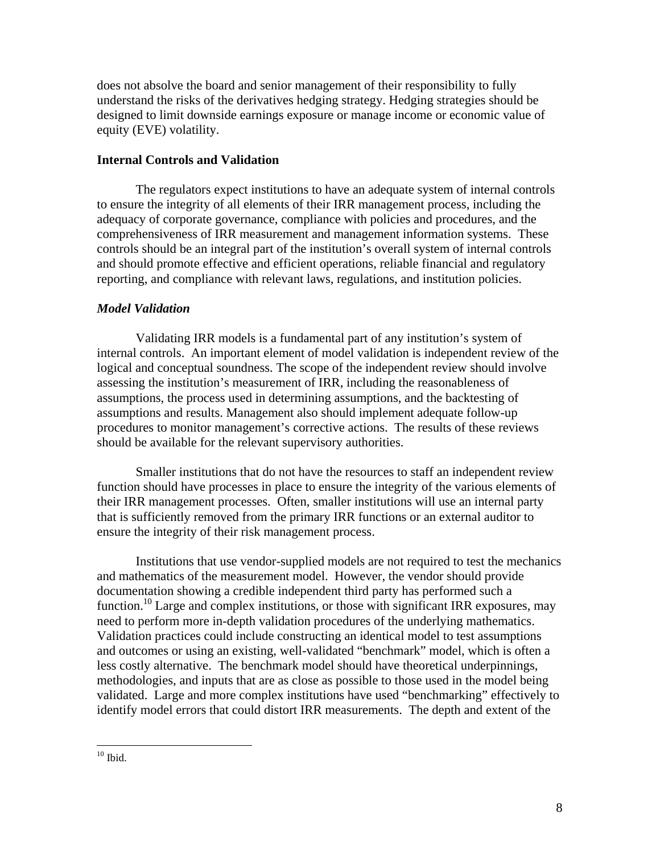does not absolve the board and senior management of their responsibility to fully understand the risks of the derivatives hedging strategy. Hedging strategies should be designed to limit downside earnings exposure or manage income or economic value of equity (EVE) volatility.

#### **Internal Controls and Validation**

The regulators expect institutions to have an adequate system of internal controls to ensure the integrity of all elements of their IRR management process, including the adequacy of corporate governance, compliance with policies and procedures, and the comprehensiveness of IRR measurement and management information systems. These controls should be an integral part of the institution's overall system of internal controls and should promote effective and efficient operations, reliable financial and regulatory reporting, and compliance with relevant laws, regulations, and institution policies.

### *Model Validation*

 Validating IRR models is a fundamental part of any institution's system of internal controls. An important element of model validation is independent review of the logical and conceptual soundness. The scope of the independent review should involve assessing the institution's measurement of IRR, including the reasonableness of assumptions, the process used in determining assumptions, and the backtesting of assumptions and results. Management also should implement adequate follow-up procedures to monitor management's corrective actions. The results of these reviews should be available for the relevant supervisory authorities.

Smaller institutions that do not have the resources to staff an independent review function should have processes in place to ensure the integrity of the various elements of their IRR management processes. Often, smaller institutions will use an internal party that is sufficiently removed from the primary IRR functions or an external auditor to ensure the integrity of their risk management process.

Institutions that use vendor-supplied models are not required to test the mechanics and mathematics of the measurement model. However, the vendor should provide documentation showing a credible independent third party has performed such a function.<sup>10</sup> Large and complex institutions, or those with significant IRR exposures, may need to perform more in-depth validation procedures of the underlying mathematics. Validation practices could include constructing an identical model to test assumptions and outcomes or using an existing, well-validated "benchmark" model, which is often a less costly alternative. The benchmark model should have theoretical underpinnings, methodologies, and inputs that are as close as possible to those used in the model being validated. Large and more complex institutions have used "benchmarking" effectively to identify model errors that could distort IRR measurements. The depth and extent of the

 $\overline{a}$ 

 $10$  Ibid.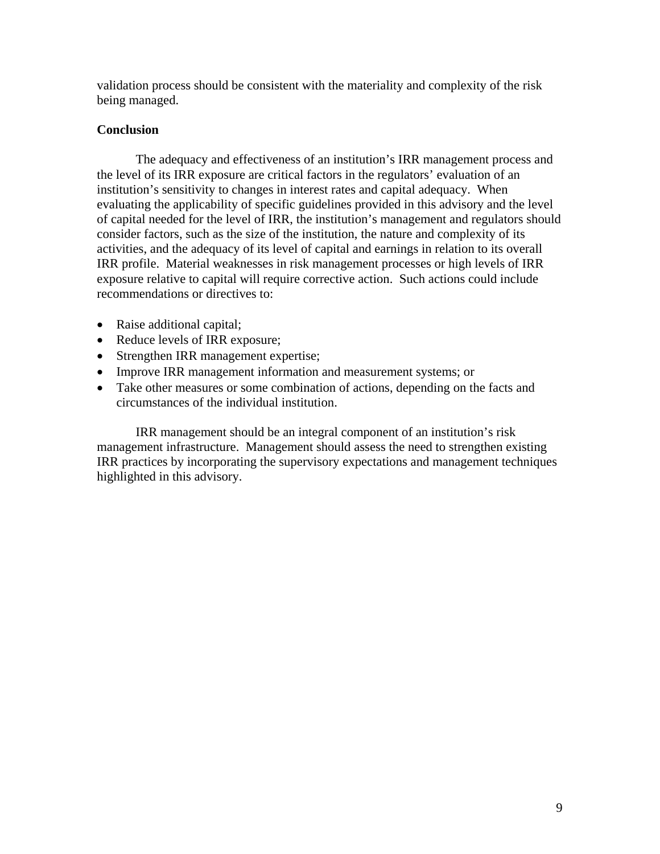validation process should be consistent with the materiality and complexity of the risk being managed.

# **Conclusion**

The adequacy and effectiveness of an institution's IRR management process and the level of its IRR exposure are critical factors in the regulators' evaluation of an institution's sensitivity to changes in interest rates and capital adequacy. When evaluating the applicability of specific guidelines provided in this advisory and the level of capital needed for the level of IRR, the institution's management and regulators should consider factors, such as the size of the institution, the nature and complexity of its activities, and the adequacy of its level of capital and earnings in relation to its overall IRR profile. Material weaknesses in risk management processes or high levels of IRR exposure relative to capital will require corrective action. Such actions could include recommendations or directives to:

- Raise additional capital;
- Reduce levels of IRR exposure;
- Strengthen IRR management expertise;
- Improve IRR management information and measurement systems; or
- Take other measures or some combination of actions, depending on the facts and circumstances of the individual institution.

IRR management should be an integral component of an institution's risk management infrastructure. Management should assess the need to strengthen existing IRR practices by incorporating the supervisory expectations and management techniques highlighted in this advisory.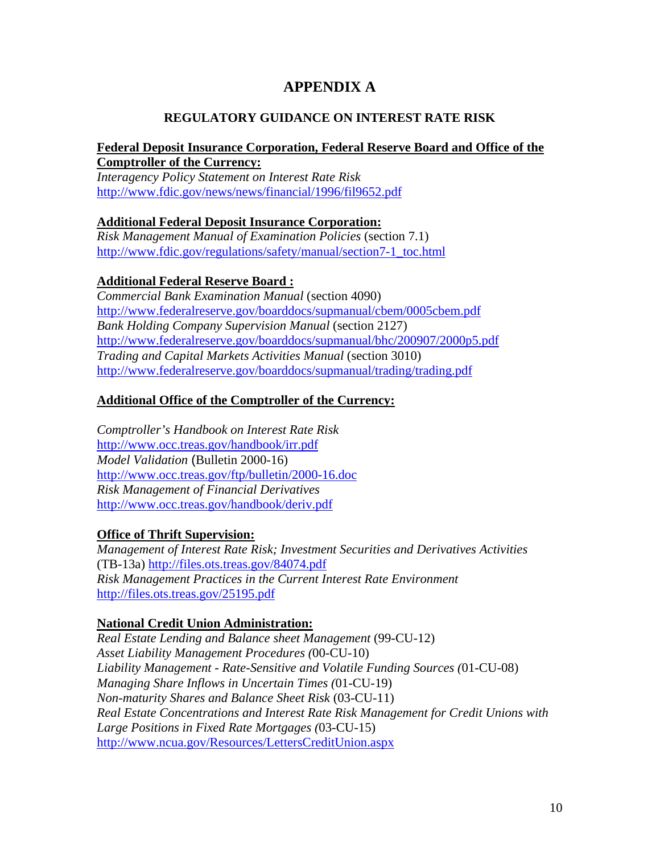# **APPENDIX A**

# **REGULATORY GUIDANCE ON INTEREST RATE RISK**

# **Federal Deposit Insurance Corporation, Federal Reserve Board and Office of the Comptroller of the Currency:**

*Interagency Policy Statement on Interest Rate Risk*  http://www.fdic.gov/news/news/financial/1996/fil9652.pdf

# **Additional Federal Deposit Insurance Corporation:**

*Risk Management Manual of Examination Policies* (section 7.1) http://www.fdic.gov/regulations/safety/manual/section7-1\_toc.html

# **Additional Federal Reserve Board :**

*Commercial Bank Examination Manual* (section 4090) http://www.federalreserve.gov/boarddocs/supmanual/cbem/0005cbem.pdf *Bank Holding Company Supervision Manual* (section 2127) http://www.federalreserve.gov/boarddocs/supmanual/bhc/200907/2000p5.pdf *Trading and Capital Markets Activities Manual* (section 3010) http://www.federalreserve.gov/boarddocs/supmanual/trading/trading.pdf

# **Additional Office of the Comptroller of the Currency:**

*Comptroller's Handbook on Interest Rate Risk* http://www.occ.treas.gov/handbook/irr.pdf *Model Validation* (Bulletin 2000-16) http://www.occ.treas.gov/ftp/bulletin/2000-16.doc *Risk Management of Financial Derivatives*  http://www.occ.treas.gov/handbook/deriv.pdf

### **Office of Thrift Supervision:**

*Management of Interest Rate Risk; Investment Securities and Derivatives Activities* (TB-13a) http://files.ots.treas.gov/84074.pdf *Risk Management Practices in the Current Interest Rate Environment* http://files.ots.treas.gov/25195.pdf

### **National Credit Union Administration:**

*Real Estate Lending and Balance sheet Management* (99-CU-12) *Asset Liability Management Procedures (*00-CU-10) *Liability Management - Rate-Sensitive and Volatile Funding Sources (*01-CU-08) *Managing Share Inflows in Uncertain Times (*01-CU-19) *Non-maturity Shares and Balance Sheet Risk* (03-CU-11) *Real Estate Concentrations and Interest Rate Risk Management for Credit Unions with Large Positions in Fixed Rate Mortgages (*03-CU-15) http://www.ncua.gov/Resources/LettersCreditUnion.aspx